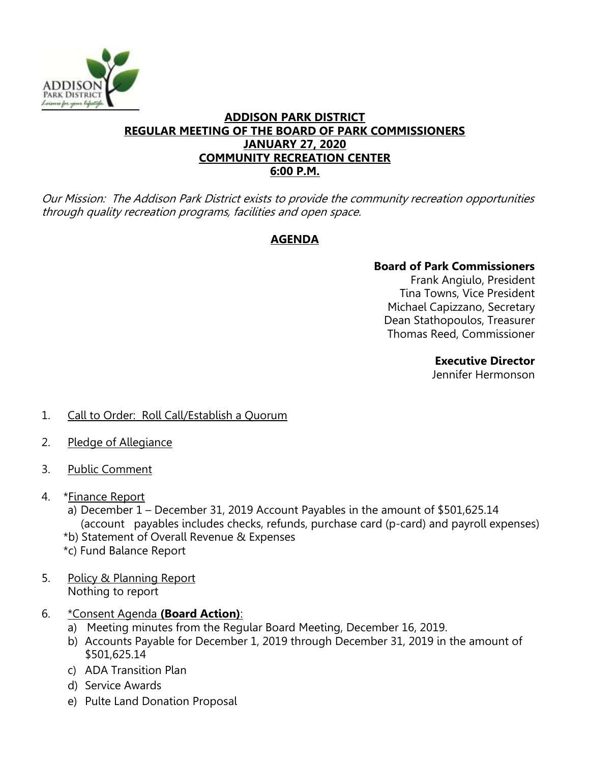

### **ADDISON PARK DISTRICT REGULAR MEETING OF THE BOARD OF PARK COMMISSIONERS JANUARY 27, 2020 COMMUNITY RECREATION CENTER 6:00 P.M.**

Our Mission: The Addison Park District exists to provide the community recreation opportunities through quality recreation programs, facilities and open space.

# **AGENDA**

# **Board of Park Commissioners**

Frank Angiulo, President Tina Towns, Vice President Michael Capizzano, Secretary Dean Stathopoulos, Treasurer Thomas Reed, Commissioner

### **Executive Director**

Jennifer Hermonson

- 1. Call to Order: Roll Call/Establish a Quorum
- 2. Pledge of Allegiance
- 3. Public Comment
- 4. \*Finance Report
	- a) December 1 December 31, 2019 Account Payables in the amount of \$501,625.14 (account payables includes checks, refunds, purchase card (p-card) and payroll expenses)
	- \*b) Statement of Overall Revenue & Expenses
	- \*c) Fund Balance Report
- 5. Policy & Planning Report Nothing to report
- 6. \*Consent Agenda **(Board Action)**:
	- a) Meeting minutes from the Regular Board Meeting, December 16, 2019.
	- b) Accounts Payable for December 1, 2019 through December 31, 2019 in the amount of \$501,625.14
	- c) ADA Transition Plan
	- d) Service Awards
	- e) Pulte Land Donation Proposal